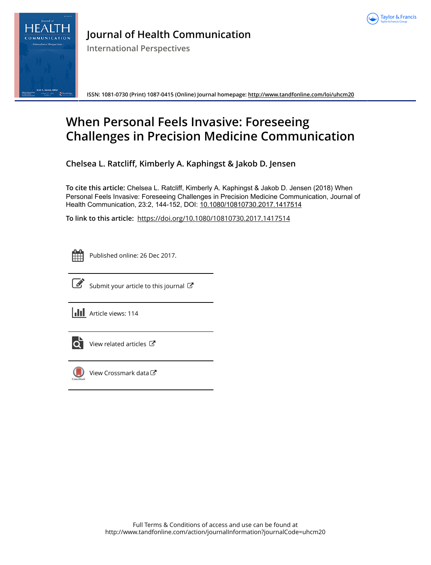



# **Journal of Health Communication**

**International Perspectives**

**ISSN: 1081-0730 (Print) 1087-0415 (Online) Journal homepage:<http://www.tandfonline.com/loi/uhcm20>**

# **When Personal Feels Invasive: Foreseeing Challenges in Precision Medicine Communication**

**Chelsea L. Ratcliff, Kimberly A. Kaphingst & Jakob D. Jensen**

**To cite this article:** Chelsea L. Ratcliff, Kimberly A. Kaphingst & Jakob D. Jensen (2018) When Personal Feels Invasive: Foreseeing Challenges in Precision Medicine Communication, Journal of Health Communication, 23:2, 144-152, DOI: [10.1080/10810730.2017.1417514](http://www.tandfonline.com/action/showCitFormats?doi=10.1080/10810730.2017.1417514)

**To link to this article:** <https://doi.org/10.1080/10810730.2017.1417514>

|  | - |  |
|--|---|--|
|  |   |  |
|  |   |  |
|  |   |  |

Published online: 26 Dec 2017.



 $\overrightarrow{S}$  [Submit your article to this journal](http://www.tandfonline.com/action/authorSubmission?journalCode=uhcm20&show=instructions)  $\overrightarrow{S}$ 

**III** Article views: 114



 $\overline{Q}$  [View related articles](http://www.tandfonline.com/doi/mlt/10.1080/10810730.2017.1417514)  $\overline{C}$ 



 $\bigcirc$  [View Crossmark data](http://crossmark.crossref.org/dialog/?doi=10.1080/10810730.2017.1417514&domain=pdf&date_stamp=2017-12-26) $\mathbb{Z}$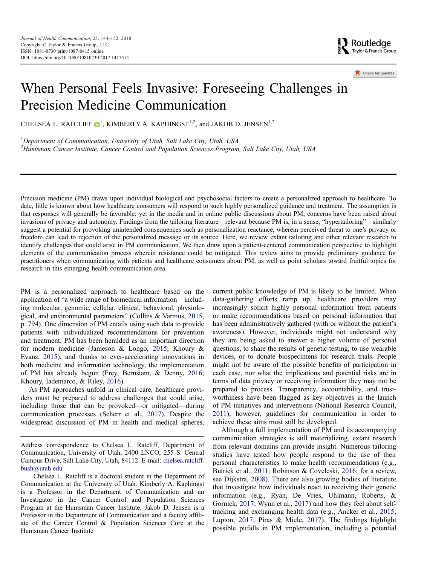Routledge<br>Taylor & Francis Group

Check for updates

# When Personal Feels Invasive: Foreseeing Challenges in Precision Medicine Communication

CHELSEA L. RATCLIFF  $\bigcirc^1$ , KIMBERLY A. KAPHINGST<sup>1,2</sup>, and JAKOB D. JENSEN<sup>1,2</sup>

<sup>1</sup>Department of Communication, University of Utah, Salt Lake City, Utah, USA  $^{2}$ Huntsman Cancer Institute, Cancer Control and Population Sciences Program, Salt Lake City, Utah, USA

Precision medicine (PM) draws upon individual biological and psychosocial factors to create a personalized approach to healthcare. To date, little is known about how healthcare consumers will respond to such highly personalized guidance and treatment. The assumption is that responses will generally be favorable; yet in the media and in online public discussions about PM, concerns have been raised about invasions of privacy and autonomy. Findings from the tailoring literature—relevant because PM is, in a sense, "hypertailoring"—similarly suggest a potential for provoking unintended consequences such as personalization reactance, wherein perceived threat to one's privacy or freedom can lead to rejection of the personalized message or its source. Here, we review extant tailoring and other relevant research to identify challenges that could arise in PM communication. We then draw upon a patient-centered communication perspective to highlight elements of the communication process wherein resistance could be mitigated. This review aims to provide preliminary guidance for practitioners when communicating with patients and healthcare consumers about PM, as well as point scholars toward fruitful topics for research in this emerging health communication area.

PM is a personalized approach to healthcare based on the application of "a wide range of biomedical information—including molecular, genomic, cellular, clinical, behavioral, physiological, and environmental parameters" (Collins & Varmus, [2015,](#page-7-0) p. 794). One dimension of PM entails using such data to provide patients with individualized recommendations for prevention and treatment. PM has been heralded as an important direction for modern medicine (Jameson & Longo, [2015](#page-8-0); Khoury & Evans, [2015\)](#page-8-0), and thanks to ever-accelerating innovations in both medicine and information technology, the implementation of PM has already begun (Frey, Bernstam, & Denny, [2016](#page-7-0); Khoury, Iademarco, & Riley, [2016](#page-8-0)).

As PM approaches unfold in clinical care, healthcare providers must be prepared to address challenges that could arise, including those that can be provoked—or mitigated—during communication processes (Scherr et al., [2017](#page-9-0)). Despite the widespread discussion of PM in health and medical spheres,

Chelsea L. Ratcliff is a doctoral student in the Department of Communication at the University of Utah. Kimberly A. Kaphingst is a Professor in the Department of Communication and an Investigator in the Cancer Control and Population Sciences Program at the Huntsman Cancer Institute. Jakob D. Jensen is a Professor in the Department of Communication and a faculty affiliate of the Cancer Control & Population Sciences Core at the Huntsman Cancer Institute

current public knowledge of PM is likely to be limited. When data-gathering efforts ramp up, healthcare providers may increasingly solicit highly personal information from patients or make recommendations based on personal information that has been administratively gathered (with or without the patient's awareness). However, individuals might not understand why they are being asked to answer a higher volume of personal questions, to share the results of genetic testing, to use wearable devices, or to donate biospecimens for research trials. People might not be aware of the possible benefits of participation in each case, nor what the implications and potential risks are in terms of data privacy or receiving information they may not be prepared to process. Transparency, accountability, and trustworthiness have been flagged as key objectives in the launch of PM initiatives and interventions (National Research Council, [2011\)](#page-8-0); however, guidelines for communication in order to achieve these aims must still be developed.

Although a full implementation of PM and its accompanying communication strategies is still materializing, extant research from relevant domains can provide insight. Numerous tailoring studies have tested how people respond to the use of their personal characteristics to make health recommendations (e.g., Butrick et al., [2011;](#page-7-0) Robinson & Coveleski, [2016;](#page-8-0) for a review, see Dijkstra, [2008\)](#page-7-0). There are also growing bodies of literature that investigate how individuals react to receiving their genetic information (e.g., Ryan, De Vries, Uhlmann, Roberts, & Gornick, [2017;](#page-9-0) Wynn et al., [2017\)](#page-9-0) and how they feel about selftracking and exchanging health data (e.g., Ancker et al., [2015](#page-7-0); Lupton, [2017](#page-8-0); Piras & Miele, [2017](#page-8-0)). The findings highlight possible pitfalls in PM implementation, including a potential

Address correspondence to Chelsea L. Ratcliff, Department of Communication, University of Utah, 2400 LNCO, 255 S. Central Campus Drive, Salt Lake City, Utah, 84112. E-mail: chelsea.ratcliff. bush@utah.edu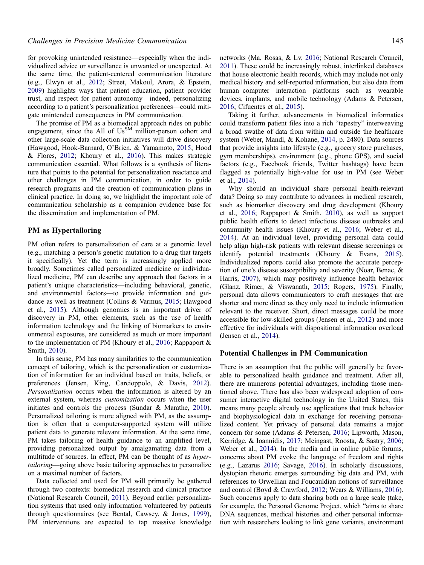for provoking unintended resistance—especially when the individualized advice or surveillance is unwanted or unexpected. At the same time, the patient-centered communication literature (e.g., Elwyn et al., [2012](#page-7-0); Street, Makoul, Arora, & Epstein, [2009\)](#page-9-0) highlights ways that patient education, patient–provider trust, and respect for patient autonomy—indeed, personalizing according to a patient's personalization preferences—could mitigate unintended consequences in PM communication.

The promise of PM as a biomedical approach rides on public engagement, since the All of  $Us<sup>SM</sup>$  million-person cohort and other large-scale data collection initiatives will drive discovery (Hawgood, Hook-Barnard, O'Brien, & Yamamoto, [2015;](#page-7-0) Hood & Flores, [2012](#page-7-0); Khoury et al., [2016](#page-8-0)). This makes strategic communication essential. What follows is a synthesis of literature that points to the potential for personalization reactance and other challenges in PM communication, in order to guide research programs and the creation of communication plans in clinical practice. In doing so, we highlight the important role of communication scholarship as a companion evidence base for the dissemination and implementation of PM.

# PM as Hypertailoring

PM often refers to personalization of care at a genomic level (e.g., matching a person's genetic mutation to a drug that targets it specifically). Yet the term is increasingly applied more broadly. Sometimes called personalized medicine or individualized medicine, PM can describe any approach that factors in a patient's unique characteristics—including behavioral, genetic, and environmental factors—to provide information and guidance as well as treatment (Collins & Varmus, [2015](#page-7-0); Hawgood et al., [2015](#page-7-0)). Although genomics is an important driver of discovery in PM, other elements, such as the use of health information technology and the linking of biomarkers to environmental exposures, are considered as much or more important to the implementation of PM (Khoury et al., [2016;](#page-8-0) Rappaport & Smith, [2010](#page-8-0)).

In this sense, PM has many similarities to the communication concept of tailoring, which is the personalization or customization of information for an individual based on traits, beliefs, or preferences (Jensen, King, Carcioppolo, & Davis, [2012](#page-8-0)). Personalization occurs when the information is altered by an external system, whereas customization occurs when the user initiates and controls the process (Sundar & Marathe, [2010](#page-9-0)). Personalized tailoring is more aligned with PM, as the assumption is often that a computer-supported system will utilize patient data to generate relevant information. At the same time, PM takes tailoring of health guidance to an amplified level, providing personalized output by amalgamating data from a multitude of sources. In effect, PM can be thought of as *hyper*tailoring—going above basic tailoring approaches to personalize on a maximal number of factors.

Data collected and used for PM will primarily be gathered through two contexts: biomedical research and clinical practice (National Research Council, [2011\)](#page-8-0). Beyond earlier personalization systems that used only information volunteered by patients through questionnaires (see Bental, Cawsey, & Jones, [1999](#page-7-0)), PM interventions are expected to tap massive knowledge

networks (Ma, Rosas, & Lv, [2016;](#page-8-0) National Research Council, [2011\)](#page-8-0). These could be increasingly robust, interlinked databases that house electronic health records, which may include not only medical history and self-reported information, but also data from human–computer interaction platforms such as wearable devices, implants, and mobile technology (Adams & Petersen, [2016;](#page-6-0) Cifuentes et al., [2015\)](#page-7-0).

Taking it further, advancements in biomedical informatics could transform patient files into a rich "tapestry" interweaving a broad swathe of data from within and outside the healthcare system (Weber, Mandl, & Kohane, [2014,](#page-9-0) p. 2480). Data sources that provide insights into lifestyle (e.g., grocery store purchases, gym memberships), environment (e.g., phone GPS), and social factors (e.g., Facebook friends, Twitter hashtags) have been flagged as potentially high-value for use in PM (see Weber et al., [2014\)](#page-9-0).

Why should an individual share personal health-relevant data? Doing so may contribute to advances in medical research, such as biomarker discovery and drug development (Khoury et al., [2016](#page-8-0); Rappaport & Smith, [2010\)](#page-8-0), as well as support public health efforts to detect infectious disease outbreaks and community health issues (Khoury et al., [2016;](#page-8-0) Weber et al., [2014\)](#page-9-0). At an individual level, providing personal data could help align high-risk patients with relevant disease screenings or identify potential treatments (Khoury & Evans, [2015](#page-8-0)). Individualized reports could also promote the accurate perception of one's disease susceptibility and severity (Noar, Benac, & Harris, [2007](#page-8-0)), which may positively influence health behavior (Glanz, Rimer, & Viswanath, [2015](#page-7-0); Rogers, [1975\)](#page-8-0). Finally, personal data allows communicators to craft messages that are shorter and more direct as they only need to include information relevant to the receiver. Short, direct messages could be more accessible for low-skilled groups (Jensen et al., [2012](#page-8-0)) and more effective for individuals with dispositional information overload (Jensen et al., [2014\)](#page-8-0).

#### Potential Challenges in PM Communication

There is an assumption that the public will generally be favorable to personalized health guidance and treatment. After all, there are numerous potential advantages, including those mentioned above. There has also been widespread adoption of consumer interactive digital technology in the United States; this means many people already use applications that track behavior and biophysiological data in exchange for receiving personalized content. Yet privacy of personal data remains a major concern for some (Adams & Petersen, [2016;](#page-6-0) Lipworth, Mason, Kerridge, & Ioannidis, [2017](#page-8-0); Meingast, Roosta, & Sastry, [2006](#page-8-0); Weber et al., [2014\)](#page-9-0). In the media and in online public forums, concerns about PM evoke the language of freedom and rights (e.g., Lazarus [2016](#page-8-0); Savage, [2016\)](#page-9-0). In scholarly discussions, dystopian rhetoric emerges surrounding big data and PM, with references to Orwellian and Foucauldian notions of surveillance and control (Boyd & Crawford, [2012](#page-7-0); Wears & Williams, [2016](#page-9-0)). Such concerns apply to data sharing both on a large scale (take, for example, the Personal Genome Project, which "aims to share DNA sequences, medical histories and other personal information with researchers looking to link gene variants, environment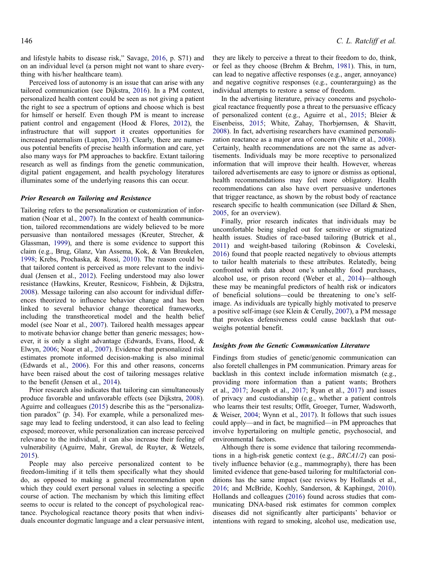and lifestyle habits to disease risk," Savage, [2016](#page-9-0), p. S71) and on an individual level (a person might not want to share everything with his/her healthcare team).

Perceived loss of autonomy is an issue that can arise with any tailored communication (see Dijkstra, [2016](#page-7-0)). In a PM context, personalized health content could be seen as not giving a patient the right to see a spectrum of options and choose which is best for himself or herself. Even though PM is meant to increase patient control and engagement (Hood & Flores, [2012\)](#page-7-0), the infrastructure that will support it creates opportunities for increased paternalism (Lupton, [2013](#page-8-0)). Clearly, there are numerous potential benefits of precise health information and care, yet also many ways for PM approaches to backfire. Extant tailoring research as well as findings from the genetic communication, digital patient engagement, and health psychology literatures illuminates some of the underlying reasons this can occur.

## Prior Research on Tailoring and Resistance

Tailoring refers to the personalization or customization of information (Noar et al., [2007\)](#page-8-0). In the context of health communication, tailored recommendations are widely believed to be more persuasive than nontailored messages (Kreuter, Strecher, & Glassman, [1999\)](#page-8-0), and there is some evidence to support this claim (e.g., Brug, Glanz, Van Assema, Kok, & Van Breukelen, [1998;](#page-7-0) Krebs, Prochaska, & Rossi, [2010](#page-8-0)). The reason could be that tailored content is perceived as more relevant to the individual (Jensen et al., [2012\)](#page-8-0). Feeling understood may also lower resistance (Hawkins, Kreuter, Resnicow, Fishbein, & Dijkstra, [2008\)](#page-7-0). Message tailoring can also account for individual differences theorized to influence behavior change and has been linked to several behavior change theoretical frameworks, including the transtheoretical model and the health belief model (see Noar et al., [2007\)](#page-8-0). Tailored health messages appear to motivate behavior change better than generic messages; however, it is only a slight advantage (Edwards, Evans, Hood, & Elwyn, [2006](#page-7-0); Noar et al., [2007\)](#page-8-0). Evidence that personalized risk estimates promote informed decision-making is also minimal (Edwards et al., [2006\)](#page-7-0). For this and other reasons, concerns have been raised about the cost of tailoring messages relative to the benefit (Jensen et al., [2014](#page-8-0)).

Prior research also indicates that tailoring can simultaneously produce favorable and unfavorable effects (see Dijkstra, [2008](#page-7-0)). Aguirre and colleagues ([2015\)](#page-6-0) describe this as the "personalization paradox" (p. 34). For example, while a personalized message may lead to feeling understood, it can also lead to feeling exposed; moreover, while personalization can increase perceived relevance to the individual, it can also increase their feeling of vulnerability (Aguirre, Mahr, Grewal, de Ruyter, & Wetzels, [2015\)](#page-6-0).

People may also perceive personalized content to be freedom-limiting if it tells them specifically what they should do, as opposed to making a general recommendation upon which they could exert personal values in selecting a specific course of action. The mechanism by which this limiting effect seems to occur is related to the concept of psychological reactance. Psychological reactance theory posits that when individuals encounter dogmatic language and a clear persuasive intent,

they are likely to perceive a threat to their freedom to do, think, or feel as they choose (Brehm & Brehm, [1981\)](#page-7-0). This, in turn, can lead to negative affective responses (e.g., anger, annoyance) and negative cognitive responses (e.g., counterarguing) as the individual attempts to restore a sense of freedom.

In the advertising literature, privacy concerns and psychological reactance frequently pose a threat to the persuasive efficacy of personalized content (e.g., Aguirre et al., [2015;](#page-6-0) Bleier & Eisenbeiss, [2015](#page-7-0); White, Zahay, Thorbjørnsen, & Shavitt, [2008\)](#page-9-0). In fact, advertising researchers have examined personalization reactance as a major area of concern (White et al., [2008](#page-9-0)). Certainly, health recommendations are not the same as advertisements. Individuals may be more receptive to personalized information that will improve their health. However, whereas tailored advertisements are easy to ignore or dismiss as optional, health recommendations may feel more obligatory. Health recommendations can also have overt persuasive undertones that trigger reactance, as shown by the robust body of reactance research specific to health communication (see Dillard & Shen, [2005,](#page-7-0) for an overview).

Finally, prior research indicates that individuals may be uncomfortable being singled out for sensitive or stigmatized health issues. Studies of race-based tailoring (Butrick et al., [2011\)](#page-7-0) and weight-based tailoring (Robinson & Coveleski, [2016\)](#page-8-0) found that people reacted negatively to obvious attempts to tailor health materials to these attributes. Relatedly, being confronted with data about one's unhealthy food purchases, alcohol use, or prison record (Weber et al., [2014](#page-9-0))—although these may be meaningful predictors of health risk or indicators of beneficial solutions—could be threatening to one's selfimage. As individuals are typically highly motivated to preserve a positive self-image (see Klein & Cerully, [2007\)](#page-8-0), a PM message that provokes defensiveness could cause backlash that outweighs potential benefit.

### Insights from the Genetic Communication Literature

Findings from studies of genetic/genomic communication can also foretell challenges in PM communication. Primary areas for backlash in this context include information mismatch (e.g., providing more information than a patient wants; Brothers et al., [2017;](#page-7-0) Joseph et al., [2017;](#page-8-0) Ryan et al., [2017](#page-9-0)) and issues of privacy and custodianship (e.g., whether a patient controls who learns their test results; Offit, Groeger, Turner, Wadsworth, & Weiser, [2004;](#page-8-0) Wynn et al., [2017\)](#page-9-0). It follows that such issues could apply—and in fact, be magnified—in PM approaches that involve hypertailoring on multiple genetic, psychosocial, and environmental factors.

Although there is some evidence that tailoring recommendations in a high-risk genetic context (e.g., BRCA1/2) can positively influence behavior (e.g., mammography), there has been limited evidence that gene-based tailoring for multifactorial conditions has the same impact (see reviews by Hollands et al., [2016;](#page-7-0) and McBride, Koehly, Sanderson, & Kaphingst, [2010](#page-8-0)). Hollands and colleagues ([2016\)](#page-7-0) found across studies that communicating DNA-based risk estimates for common complex diseases did not significantly alter participants' behavior or intentions with regard to smoking, alcohol use, medication use,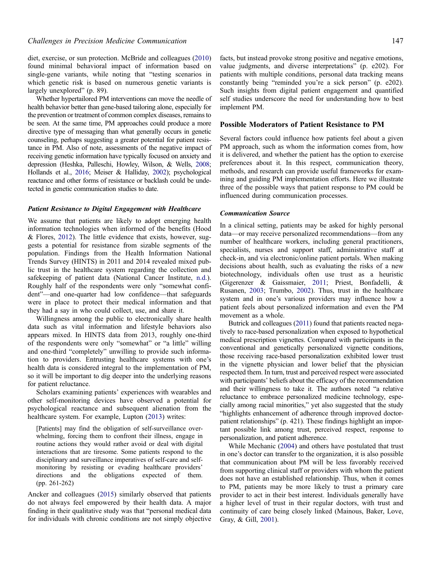diet, exercise, or sun protection. McBride and colleagues ([2010\)](#page-8-0) found minimal behavioral impact of information based on single-gene variants, while noting that "testing scenarios in which genetic risk is based on numerous genetic variants is largely unexplored" (p. 89).

Whether hypertailored PM interventions can move the needle of health behavior better than gene-based tailoring alone, especially for the prevention or treatment of common complex diseases, remains to be seen. At the same time, PM approaches could produce a more directive type of messaging than what generally occurs in genetic counseling, perhaps suggesting a greater potential for patient resistance in PM. Also of note, assessments of the negative impact of receiving genetic information have typically focused on anxiety and depression (Heshka, Palleschi, Howley, Wilson, & Wells, [2008](#page-7-0); Hollands et al., [2016](#page-7-0); Meiser & Halliday, [2002](#page-8-0)); psychological reactance and other forms of resistance or backlash could be undetected in genetic communication studies to date.

### Patient Resistance to Digital Engagement with Healthcare

We assume that patients are likely to adopt emerging health information technologies when informed of the benefits (Hood & Flores, [2012](#page-7-0)). The little evidence that exists, however, suggests a potential for resistance from sizable segments of the population. Findings from the Health Information National Trends Survey (HINTS) in 2011 and 2014 revealed mixed public trust in the healthcare system regarding the collection and safekeeping of patient data (National Cancer Institute, [n.d.](#page-8-0)). Roughly half of the respondents were only "somewhat confident"—and one-quarter had low confidence—that safeguards were in place to protect their medical information and that they had a say in who could collect, use, and share it.

Willingness among the public to electronically share health data such as vital information and lifestyle behaviors also appears mixed. In HINTS data from 2013, roughly one-third of the respondents were only "somewhat" or "a little" willing and one-third "completely" unwilling to provide such information to providers. Entrusting healthcare systems with one's health data is considered integral to the implementation of PM, so it will be important to dig deeper into the underlying reasons for patient reluctance.

Scholars examining patients' experiences with wearables and other self-monitoring devices have observed a potential for psychological reactance and subsequent alienation from the healthcare system. For example, Lupton [\(2013](#page-8-0)) writes:

[Patients] may find the obligation of self-surveillance overwhelming, forcing them to confront their illness, engage in routine actions they would rather avoid or deal with digital interactions that are tiresome. Some patients respond to the disciplinary and surveillance imperatives of self-care and selfmonitoring by resisting or evading healthcare providers' directions and the obligations expected of them. (pp. 261-262)

Ancker and colleagues ([2015\)](#page-7-0) similarly observed that patients do not always feel empowered by their health data. A major finding in their qualitative study was that "personal medical data for individuals with chronic conditions are not simply objective

facts, but instead provoke strong positive and negative emotions, value judgments, and diverse interpretations" (p. e202). For patients with multiple conditions, personal data tracking means constantly being "reminded you're a sick person" (p. e202). Such insights from digital patient engagement and quantified self studies underscore the need for understanding how to best implement PM.

# Possible Moderators of Patient Resistance to PM

Several factors could influence how patients feel about a given PM approach, such as whom the information comes from, how it is delivered, and whether the patient has the option to exercise preferences about it. In this respect, communication theory, methods, and research can provide useful frameworks for examining and guiding PM implementation efforts. Here we illustrate three of the possible ways that patient response to PM could be influenced during communication processes.

#### Communication Source

In a clinical setting, patients may be asked for highly personal data—or may receive personalized recommendations—from any number of healthcare workers, including general practitioners, specialists, nurses and support staff, administrative staff at check-in, and via electronic/online patient portals. When making decisions about health, such as evaluating the risks of a new biotechnology, individuals often use trust as a heuristic (Gigerenzer & Gaissmaier, [2011](#page-7-0); Priest, Bonfadelli, & Rusanen, [2003](#page-8-0); Trumbo, [2002\)](#page-9-0). Thus, trust in the healthcare system and in one's various providers may influence how a patient feels about personalized information and even the PM movement as a whole.

Butrick and colleagues [\(2011](#page-7-0)) found that patients reacted negatively to race-based personalization when exposed to hypothetical medical prescription vignettes. Compared with participants in the conventional and genetically personalized vignette conditions, those receiving race-based personalization exhibited lower trust in the vignette physician and lower belief that the physician respected them. In turn, trust and perceived respect were associated with participants' beliefs about the efficacy of the recommendation and their willingness to take it. The authors noted "a relative reluctance to embrace personalized medicine technology, especially among racial minorities," yet also suggested that the study "highlights enhancement of adherence through improved doctorpatient relationships" (p. 421). These findings highlight an important possible link among trust, perceived respect, response to personalization, and patient adherence.

While Mechanic ([2004\)](#page-8-0) and others have postulated that trust in one's doctor can transfer to the organization, it is also possible that communication about PM will be less favorably received from supporting clinical staff or providers with whom the patient does not have an established relationship. Thus, when it comes to PM, patients may be more likely to trust a primary care provider to act in their best interest. Individuals generally have a higher level of trust in their regular doctors, with trust and continuity of care being closely linked (Mainous, Baker, Love, Gray, & Gill, [2001\)](#page-8-0).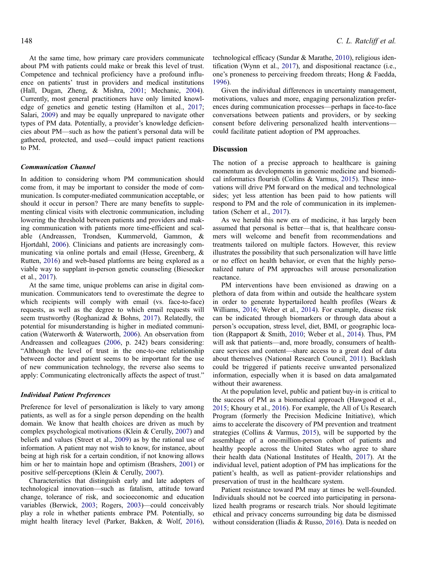At the same time, how primary care providers communicate about PM with patients could make or break this level of trust. Competence and technical proficiency have a profound influence on patients' trust in providers and medical institutions (Hall, Dugan, Zheng, & Mishra, [2001;](#page-7-0) Mechanic, [2004](#page-8-0)). Currently, most general practitioners have only limited knowledge of genetics and genetic testing (Hamilton et al., [2017](#page-7-0); Salari, [2009\)](#page-9-0) and may be equally unprepared to navigate other types of PM data. Potentially, a provider's knowledge deficiencies about PM—such as how the patient's personal data will be gathered, protected, and used—could impact patient reactions to PM.

#### Communication Channel

In addition to considering whom PM communication should come from, it may be important to consider the mode of communication. Is computer-mediated communication acceptable, or should it occur in person? There are many benefits to supplementing clinical visits with electronic communication, including lowering the threshold between patients and providers and making communication with patients more time-efficient and scalable (Andreassen, Trondsen, Kummervold, Gammon, & Hjortdahl, [2006\)](#page-7-0). Clinicians and patients are increasingly communicating via online portals and email (Hesse, Greenberg, & Rutten, [2016](#page-7-0)) and web-based platforms are being explored as a viable way to supplant in-person genetic counseling (Biesecker et al., [2017\)](#page-7-0).

At the same time, unique problems can arise in digital communication. Communicators tend to overestimate the degree to which recipients will comply with email (vs. face-to-face) requests, as well as the degree to which email requests will seem trustworthy (Roghanizad & Bohns, [2017\)](#page-9-0). Relatedly, the potential for misunderstanding is higher in mediated communication (Waterworth & Waterworth, [2006\)](#page-9-0). An observation from Andreassen and colleagues ([2006,](#page-7-0) p. 242) bears considering: "Although the level of trust in the one-to-one relationship between doctor and patient seems to be important for the use of new communication technology, the reverse also seems to apply: Communicating electronically affects the aspect of trust."

#### Individual Patient Preferences

Preference for level of personalization is likely to vary among patients, as well as for a single person depending on the health domain. We know that health choices are driven as much by complex psychological motivations (Klein & Cerully, [2007\)](#page-8-0) and beliefs and values (Street et al., [2009\)](#page-9-0) as by the rational use of information. A patient may not wish to know, for instance, about being at high risk for a certain condition, if not knowing allows him or her to maintain hope and optimism (Brashers, [2001](#page-7-0)) or positive self-perceptions (Klein & Cerully, [2007\)](#page-8-0).

Characteristics that distinguish early and late adopters of technological innovation—such as fatalism, attitude toward change, tolerance of risk, and socioeconomic and education variables (Berwick, [2003](#page-7-0); Rogers, [2003\)](#page-8-0)—could conceivably play a role in whether patients embrace PM. Potentially, so might health literacy level (Parker, Bakken, & Wolf, [2016](#page-8-0)),

technological efficacy (Sundar & Marathe, [2010\)](#page-9-0), religious identification (Wynn et al., [2017\)](#page-9-0), and dispositional reactance (i.e., one's proneness to perceiving freedom threats; Hong & Faedda, [1996](#page-7-0)).

Given the individual differences in uncertainty management, motivations, values and more, engaging personalization preferences during communication processes—perhaps in face-to-face conversations between patients and providers, or by seeking consent before delivering personalized health interventions could facilitate patient adoption of PM approaches.

# **Discussion**

The notion of a precise approach to healthcare is gaining momentum as developments in genomic medicine and biomedical informatics flourish (Collins & Varmus, [2015\)](#page-7-0). These innovations will drive PM forward on the medical and technological sides; yet less attention has been paid to how patients will respond to PM and the role of communication in its implementation (Scherr et al., [2017\)](#page-9-0).

As we herald this new era of medicine, it has largely been assumed that personal is better—that is, that healthcare consumers will welcome and benefit from recommendations and treatments tailored on multiple factors. However, this review illustrates the possibility that such personalization will have little or no effect on health behavior, or even that the highly personalized nature of PM approaches will arouse personalization reactance.

PM interventions have been envisioned as drawing on a plethora of data from within and outside the healthcare system in order to generate hypertailored health profiles (Wears & Williams, [2016;](#page-9-0) Weber et al., [2014\)](#page-9-0). For example, disease risk can be indicated through biomarkers or through data about a person's occupation, stress level, diet, BMI, or geographic location (Rappaport & Smith, [2010](#page-8-0); Weber et al., [2014\)](#page-9-0). Thus, PM will ask that patients—and, more broadly, consumers of healthcare services and content—share access to a great deal of data about themselves (National Research Council, [2011](#page-8-0)). Backlash could be triggered if patients receive unwanted personalized information, especially when it is based on data amalgamated without their awareness.

At the population level, public and patient buy-in is critical to the success of PM as a biomedical approach (Hawgood et al., [2015;](#page-7-0) Khoury et al., [2016\)](#page-8-0). For example, the All of Us Research Program (formerly the Precision Medicine Initiative), which aims to accelerate the discovery of PM prevention and treatment strategies (Collins & Varmus, [2015\)](#page-7-0), will be supported by the assemblage of a one-million-person cohort of patients and healthy people across the United States who agree to share their health data (National Institutes of Health, [2017](#page-8-0)). At the individual level, patient adoption of PM has implications for the patient's health, as well as patient–provider relationships and preservation of trust in the healthcare system.

Patient resistance toward PM may at times be well-founded. Individuals should not be coerced into participating in personalized health programs or research trials. Nor should legitimate ethical and privacy concerns surrounding big data be dismissed without consideration (Iliadis & Russo, [2016](#page-8-0)). Data is needed on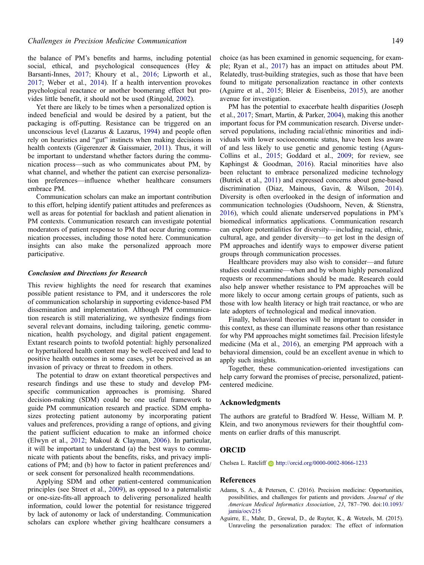<span id="page-6-0"></span>the balance of PM's benefits and harms, including potential social, ethical, and psychological consequences (Hey & Barsanti-Innes, [2017;](#page-7-0) Khoury et al., [2016;](#page-8-0) Lipworth et al., [2017;](#page-8-0) Weber et al., [2014](#page-9-0)). If a health intervention provokes psychological reactance or another boomerang effect but provides little benefit, it should not be used (Ringold, [2002\)](#page-8-0).

Yet there are likely to be times when a personalized option is indeed beneficial and would be desired by a patient, but the packaging is off-putting. Resistance can be triggered on an unconscious level (Lazarus & Lazarus, [1994\)](#page-8-0) and people often rely on heuristics and "gut" instincts when making decisions in health contexts (Gigerenzer & Gaissmaier, [2011\)](#page-7-0). Thus, it will be important to understand whether factors during the communication process—such as who communicates about PM, by what channel, and whether the patient can exercise personalization preferences—influence whether healthcare consumers embrace PM.

Communication scholars can make an important contribution to this effort, helping identify patient attitudes and preferences as well as areas for potential for backlash and patient alienation in PM contexts. Communication research can investigate potential moderators of patient response to PM that occur during communication processes, including those noted here. Communication insights can also make the personalized approach more participative.

#### Conclusion and Directions for Research

This review highlights the need for research that examines possible patient resistance to PM, and it underscores the role of communication scholarship in supporting evidence-based PM dissemination and implementation. Although PM communication research is still materializing, we synthesize findings from several relevant domains, including tailoring, genetic communication, health psychology, and digital patient engagement. Extant research points to twofold potential: highly personalized or hypertailored health content may be well-received and lead to positive health outcomes in some cases, yet be perceived as an invasion of privacy or threat to freedom in others.

The potential to draw on extant theoretical perspectives and research findings and use these to study and develop PMspecific communication approaches is promising. Shared decision-making (SDM) could be one useful framework to guide PM communication research and practice. SDM emphasizes protecting patient autonomy by incorporating patient values and preferences, providing a range of options, and giving the patient sufficient education to make an informed choice (Elwyn et al., [2012;](#page-7-0) Makoul & Clayman, [2006](#page-8-0)). In particular, it will be important to understand (a) the best ways to communicate with patients about the benefits, risks, and privacy implications of PM; and (b) how to factor in patient preferences and/ or seek consent for personalized health recommendations.

Applying SDM and other patient-centered communication principles (see Street et al., [2009](#page-9-0)), as opposed to a paternalistic or one-size-fits-all approach to delivering personalized health information, could lower the potential for resistance triggered by lack of autonomy or lack of understanding. Communication scholars can explore whether giving healthcare consumers a

choice (as has been examined in genomic sequencing, for example; Ryan et al., [2017\)](#page-9-0) has an impact on attitudes about PM. Relatedly, trust-building strategies, such as those that have been found to mitigate personalization reactance in other contexts (Aguirre et al., 2015; Bleier & Eisenbeiss, [2015](#page-7-0)), are another avenue for investigation.

PM has the potential to exacerbate health disparities (Joseph et al., [2017](#page-8-0); Smart, Martin, & Parker, [2004](#page-9-0)), making this another important focus for PM communication research. Diverse underserved populations, including racial/ethnic minorities and individuals with lower socioeconomic status, have been less aware of and less likely to use genetic and genomic testing (Agurs-Collins et al., [2015;](#page-7-0) Goddard et al., [2009](#page-7-0); for review, see Kaphingst & Goodman, [2016\)](#page-8-0). Racial minorities have also been reluctant to embrace personalized medicine technology (Butrick et al., [2011\)](#page-7-0) and expressed concerns about gene-based discrimination (Diaz, Mainous, Gavin, & Wilson, [2014](#page-7-0)). Diversity is often overlooked in the design of information and communication technologies (Oudshoorn, Neven, & Stienstra, [2016\)](#page-8-0), which could alienate underserved populations in PM's biomedical informatics applications. Communication research can explore potentialities for diversity—including racial, ethnic, cultural, age, and gender diversity—to get lost in the design of PM approaches and identify ways to empower diverse patient groups through communication processes.

Healthcare providers may also wish to consider—and future studies could examine—when and by whom highly personalized requests or recommendations should be made. Research could also help answer whether resistance to PM approaches will be more likely to occur among certain groups of patients, such as those with low health literacy or high trait reactance, or who are late adopters of technological and medical innovation.

Finally, behavioral theories will be important to consider in this context, as these can illuminate reasons other than resistance for why PM approaches might sometimes fail. Precision lifestyle medicine (Ma et al., [2016\)](#page-8-0), an emerging PM approach with a behavioral dimension, could be an excellent avenue in which to apply such insights.

Together, these communication-oriented investigations can help carry forward the promises of precise, personalized, patientcentered medicine.

#### Acknowledgments

The authors are grateful to Bradford W. Hesse, William M. P. Klein, and two anonymous reviewers for their thoughtful comments on earlier drafts of this manuscript.

# ORCID

Chelsea L. Ratcliff **b** http://orcid.org/0000-0002-8066-1233

#### References

- Adams, S. A., & Petersen, C. (2016). Precision medicine: Opportunities, possibilities, and challenges for patients and providers. Journal of the American Medical Informatics Association, 23, 787–790. doi[:10.1093/](http://dx.doi.org/10.1093/jamia/ocv215) [jamia/ocv215](http://dx.doi.org/10.1093/jamia/ocv215)
- Aguirre, E., Mahr, D., Grewal, D., de Ruyter, K., & Wetzels, M. (2015). Unraveling the personalization paradox: The effect of information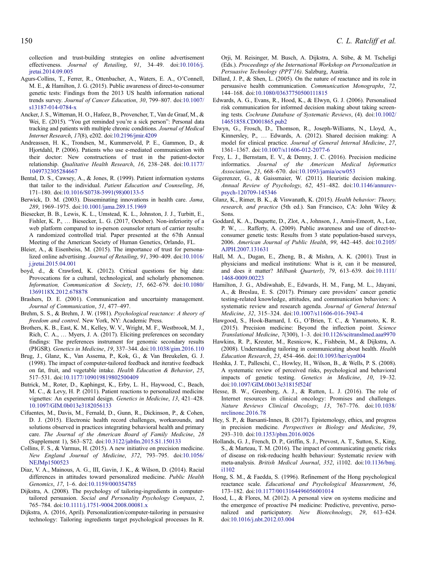<span id="page-7-0"></span>collection and trust-building strategies on online advertisement effectiveness. Journal of Retailing, 91, 34–49. doi:[10.1016/j.](http://dx.doi.org/10.1016/j.jretai.2014.09.005) [jretai.2014.09.005](http://dx.doi.org/10.1016/j.jretai.2014.09.005)

- Agurs-Collins, T., Ferrer, R., Ottenbacher, A., Waters, E. A., O'Connell, M. E., & Hamilton, J. G. (2015). Public awareness of direct-to-consumer genetic tests: Findings from the 2013 US health information national trends survey. Journal of Cancer Education, 30, 799–807. doi[:10.1007/](http://dx.doi.org/10.1007/s13187-014-0784-x) [s13187-014-0784-x](http://dx.doi.org/10.1007/s13187-014-0784-x)
- Ancker, J. S., Witteman, H. O., Hafeez, B., Provencher, T., Van de Graaf, M., & Wei, E. (2015). "You get reminded you're a sick person": Personal data tracking and patients with multiple chronic conditions. Journal of Medical Internet Research, 17(8), e202. doi:[10.2196/jmir.4209](http://dx.doi.org/10.2196/jmir.4209)
- Andreassen, H. K., Trondsen, M., Kummervold, P. E., Gammon, D., & Hjortdahl, P. (2006). Patients who use e-mediated communication with their doctor: New constructions of trust in the patient-doctor relationship. Qualitative Health Research, 16, 238–248. doi[:10.1177/](http://dx.doi.org/10.1177/1049732305284667) [1049732305284667](http://dx.doi.org/10.1177/1049732305284667)
- Bental, D. S., Cawsey, A., & Jones, R. (1999). Patient information systems that tailor to the individual. Patient Education and Counseling, 36, 171–180. doi[:10.1016/S0738-3991\(98\)00133-5](http://dx.doi.org/10.1016/S0738-3991(98)00133-5)
- Berwick, D. M. (2003). Disseminating innovations in health care. Jama, 289, 1969–1975. doi:[10.1001/jama.289.15.1969](http://dx.doi.org/10.1001/jama.289.15.1969)
- Biesecker, B. B., Lewis, K. L., Umstead, K. L., Johnston, J. J., Turbitt, E., Fishler, K. P., … Biesecker, L. G. (2017, October). Non-inferiority of a web platform compared to in-person counselor return of carrier results: A randomized controlled trial. Paper presented at the 67th Annual Meeting of the American Society of Human Genetics, Orlando, FL.
- Bleier, A., & Eisenbeiss, M. (2015). The importance of trust for personalized online advertising. Journal of Retailing, 91, 390–409. doi[:10.1016/](http://dx.doi.org/10.1016/j.jretai.2015.04.001) [j.jretai.2015.04.001](http://dx.doi.org/10.1016/j.jretai.2015.04.001)
- boyd, d., & Crawford, K. (2012). Critical questions for big data: Provocations for a cultural, technological, and scholarly phenomenon. Information, Communication & Society, 15, 662–679. doi[:10.1080/](http://dx.doi.org/10.1080/1369118X.2012.678878) [1369118X.2012.678878](http://dx.doi.org/10.1080/1369118X.2012.678878)
- Brashers, D. E. (2001). Communication and uncertainty management. Journal of Communication, 51, 477–497.
- Brehm, S. S., & Brehm, J. W. (1981). Psychological reactance: A theory of freedom and control. New York, NY: Academic Press.
- Brothers, K. B., East, K. M., Kelley, W. V., Wright, M. F., Westbrook, M. J., Rich, C. A., … Myers, J. A. (2017). Eliciting preferences on secondary findings: The preferences instrument for genomic secondary results (PIGSR). Genetics in Medicine, 19, 337–344. doi:[10.1038/gim.2016.110](http://dx.doi.org/10.1038/gim.2016.110)
- Brug, J., Glanz, K., Van Assema, P., Kok, G., & Van Breukelen, G. J. (1998). The impact of computer-tailored feedback and iterative feedback on fat, fruit, and vegetable intake. Health Education & Behavior, 25, 517–531. doi[:10.1177/109019819802500409](http://dx.doi.org/10.1177/109019819802500409)
- Butrick, M., Roter, D., Kaphingst, K., Erby, L. H., Haywood, C., Beach, M. C., & Levy, H. P. (2011). Patient reactions to personalized medicine vignettes: An experimental design. Genetics in Medicine, 13, 421–428. [10.1097/GIM.0b013e3182056133](http://dx.doi.org/10.1097/GIM.0b013e3182056133)
- Cifuentes, M., Davis, M., Fernald, D., Gunn, R., Dickinson, P., & Cohen, D. J. (2015). Electronic health record challenges, workarounds, and solutions observed in practices integrating behavioral health and primary care. The Journal of the American Board of Family Medicine, 28 (Supplement 1), S63–S72. doi:[10.3122/jabfm.2015.S1.150133](http://dx.doi.org/10.3122/jabfm.2015.S1.150133)
- Collins, F. S., & Varmus, H. (2015). A new initiative on precision medicine. New England Journal of Medicine, 372, 793–795. doi[:10.1056/](http://dx.doi.org/10.1056/NEJMp1500523) [NEJMp1500523](http://dx.doi.org/10.1056/NEJMp1500523)
- Diaz, V. A., Mainous, A. G., III, Gavin, J. K., & Wilson, D. (2014). Racial differences in attitudes toward personalized medicine. Public Health Genomics, 17, 1–6. doi[:10.1159/000354785](http://dx.doi.org/10.1159/000354785)
- Dijkstra, A. (2008). The psychology of tailoring-ingredients in computertailored persuasion. Social and Personality Psychology Compass, 2, 765–784. doi[:10.1111/j.1751-9004.2008.00081.x](http://dx.doi.org/10.1111/j.1751-9004.2008.00081.x)
- Dijkstra, A. (2016, April). Personalization/computer-tailoring in persuasive technology: Tailoring ingredients target psychological processes In R.

Orji, M. Reisinger, M. Busch, A. Dijkstra, A. Stibe, & M. Tscheligi (Eds.). Proceedings of the International Workshop on Personalization in Persuasive Technology (PPT'16). Salzburg, Austria.

- Dillard, J. P., & Shen, L. (2005). On the nature of reactance and its role in persuasive health communication. Communication Monographs, 72, 144–168. doi:[10.1080/03637750500111815](http://dx.doi.org/10.1080/03637750500111815)
- Edwards, A. G., Evans, R., Hood, K., & Elwyn, G. J. (2006). Personalised risk communication for informed decision making about taking screening tests. Cochrane Database of Systematic Reviews, (4). doi[:10.1002/](http://dx.doi.org/10.1002/14651858.CD001865.pub2) [14651858.CD001865.pub2](http://dx.doi.org/10.1002/14651858.CD001865.pub2)
- Elwyn, G., Frosch, D., Thomson, R., Joseph-Williams, N., Lloyd, A., Kinnersley, P., … Edwards, A. (2012). Shared decision making: A model for clinical practice. Journal of General Internal Medicine, 27, 1361–1367. doi[:10.1007/s11606-012-2077-6](http://dx.doi.org/10.1007/s11606-012-2077-6)
- Frey, L. J., Bernstam, E. V., & Denny, J. C. (2016). Precision medicine informatics. Journal of the American Medical Informatics Association, 23, 668–670. doi:[10.1093/jamia/ocw053](http://dx.doi.org/10.1093/jamia/ocw053)
- Gigerenzer, G., & Gaissmaier, W. (2011). Heuristic decision making. Annual Review of Psychology, 62, 451–482. doi:[10.1146/annurev](http://dx.doi.org/10.1146/annurev-psych-120709-145346)[psych-120709-145346](http://dx.doi.org/10.1146/annurev-psych-120709-145346)
- Glanz, K., Rimer, B. K., & Viswanath, K. (2015). Health behavior: Theory, research, and practice (5th ed.). San Francisco, CA: John Wiley & Sons.
- Goddard, K. A., Duquette, D., Zlot, A., Johnson, J., Annis-Emeott, A., Lee, P. W., … Rafferty, A. (2009). Public awareness and use of direct-toconsumer genetic tests: Results from 3 state population-based surveys, 2006. American Journal of Public Health, 99, 442–445. doi[:10.2105/](http://dx.doi.org/10.2105/AJPH.2007.131631) [AJPH.2007.131631](http://dx.doi.org/10.2105/AJPH.2007.131631)
- Hall, M. A., Dugan, E., Zheng, B., & Mishra, A. K. (2001). Trust in physicians and medical institutions: What is it, can it be measured, and does it matter? Milbank Quarterly, 79, 613–639. doi[:10.1111/](http://dx.doi.org/10.1111/1468-0009.00223) [1468-0009.00223](http://dx.doi.org/10.1111/1468-0009.00223)
- Hamilton, J. G., Abdiwahab, E., Edwards, H. M., Fang, M. L., Jdayani, A., & Breslau, E. S. (2017). Primary care providers' cancer genetic testing-related knowledge, attitudes, and communication behaviors: A systematic review and research agenda. Journal of General Internal Medicine, 32, 315–324. doi:[10.1007/s11606-016-3943-4](http://dx.doi.org/10.1007/s11606-016-3943-4)
- Hawgood, S., Hook-Barnard, I. G., O'Brien, T. C., & Yamamoto, K. R. (2015). Precision medicine: Beyond the inflection point. Science Translational Medicine, 7(300), 1–3. doi[:10.1126/scitranslmed.aaa9970](http://dx.doi.org/10.1126/scitranslmed.aaa9970)
- Hawkins, R. P., Kreuter, M., Resnicow, K., Fishbein, M., & Dijkstra, A. (2008). Understanding tailoring in communicating about health. Health Education Research, 23, 454–466. doi[:10.1093/her/cyn004](http://dx.doi.org/10.1093/her/cyn004)
- Heshka, J. T., Palleschi, C., Howley, H., Wilson, B., & Wells, P. S. (2008). A systematic review of perceived risks, psychological and behavioral impacts of genetic testing. Genetics in Medicine, 10, 19–32. doi[:10.1097/GIM.0b013e31815f524f](http://dx.doi.org/10.1097/GIM.0b013e31815f524f)
- Hesse, B. W., Greenberg, A. J., & Rutten, L. J. (2016). The role of Internet resources in clinical oncology: Promises and challenges. Nature Reviews Clinical Oncology, 13, 767–776. doi:[10.1038/](http://dx.doi.org/10.1038/nrclinonc.2016.78) [nrclinonc.2016.78](http://dx.doi.org/10.1038/nrclinonc.2016.78)
- Hey, S. P., & Barsanti-Innes, B. (2017). Epistemology, ethics, and progress in precision medicine. Perspectives in Biology and Medicine, 59, 293–310. doi:[10.1353/pbm.2016.0026](http://dx.doi.org/10.1353/pbm.2016.0026)
- Hollands, G. J., French, D. P., Griffin, S. J., Prevost, A. T., Sutton, S., King, S., & Marteau, T. M. (2016). The impact of communicating genetic risks of disease on risk-reducing health behaviour: Systematic review with meta-analysis. British Medical Journal, 352, i1102. doi[:10.1136/bmj.](http://dx.doi.org/10.1136/bmj.i1102) [i1102](http://dx.doi.org/10.1136/bmj.i1102)
- Hong, S. M., & Faedda, S. (1996). Refinement of the Hong psychological reactance scale. Educational and Psychological Measurement, 56, 173–182. doi:[10.1177/0013164496056001014](http://dx.doi.org/10.1177/0013164496056001014)
- Hood, L., & Flores, M. (2012). A personal view on systems medicine and the emergence of proactive P4 medicine: Predictive, preventive, personalized and participatory. New Biotechnology, 29, 613–624. doi[:10.1016/j.nbt.2012.03.004](http://dx.doi.org/10.1016/j.nbt.2012.03.004)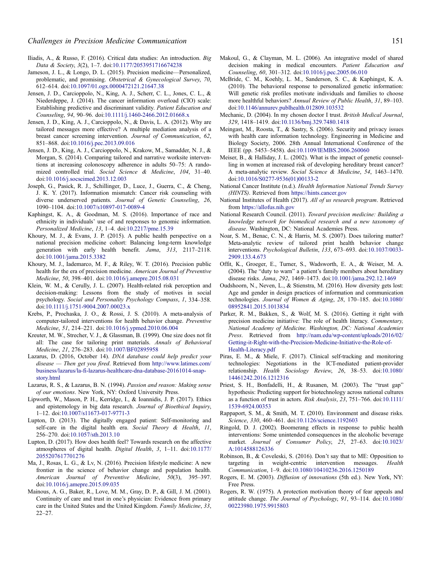- <span id="page-8-0"></span>Iliadis, A., & Russo, F. (2016). Critical data studies: An introduction. Big Data & Society, 3(2), 1–7. doi:[10.1177/2053951716674238](http://dx.doi.org/10.1177/2053951716674238)
- Jameson, J. L., & Longo, D. L. (2015). Precision medicine—Personalized, problematic, and promising. Obstetrical & Gynecological Survey, 70, 612–614. doi[:10.1097/01.ogx.0000472121.21647.38](http://dx.doi.org/10.1097/01.ogx.0000472121.21647.38)
- Jensen, J. D., Carcioppolo, N., King, A. J., Scherr, C. L., Jones, C. L., & Niederdeppe, J. (2014). The cancer information overload (CIO) scale: Establishing predictive and discriminant validity. Patient Education and Counseling, 94, 90–96. doi:[10.1111/j.1460-2466.2012.01668.x](http://dx.doi.org/10.1111/j.1460-2466.2012.01668.x)
- Jensen, J. D., King, A. J., Carcioppolo, N., & Davis, L. A. (2012). Why are tailored messages more effective? A multiple mediation analysis of a breast cancer screening intervention. Journal of Communication, 62, 851–868. doi[:10.1016/j.pec.2013.09.016](http://dx.doi.org/10.1016/j.pec.2013.09.016)
- Jensen, J. D., King, A. J., Carcioppolo, N., Krakow, M., Samadder, N. J., & Morgan, S. (2014). Comparing tailored and narrative worksite interventions at increasing colonoscopy adherence in adults 50–75: A randomized controlled trial. Social Science & Medicine, 104, 31–40. doi:[10.1016/j.socscimed.2013.12.003](http://dx.doi.org/10.1016/j.socscimed.2013.12.003)
- Joseph, G., Pasick, R. J., Schillinger, D., Luce, J., Guerra, C., & Cheng, J. K. Y. (2017). Information mismatch: Cancer risk counseling with diverse underserved patients. Journal of Genetic Counseling, 26, 1090–1104. doi:[10.1007/s10897-017-0089-4](http://dx.doi.org/10.1007/s10897-017-0089-4)
- Kaphingst, K. A., & Goodman, M. S. (2016). Importance of race and ethnicity in individuals' use of and responses to genomic information. Personalized Medicine, 13, 1–4. doi:[10.2217/pme.15.39](http://dx.doi.org/10.2217/pme.15.39)
- Khoury, M. J., & Evans, J. P. (2015). A public health perspective on a national precision medicine cohort: Balancing long-term knowledge generation with early health benefit. Jama, 313, 2117-2118. doi:[10.1001/jama.2015.3382](http://dx.doi.org/10.1001/jama.2015.3382)
- Khoury, M. J., Iademarco, M. F., & Riley, W. T. (2016). Precision public health for the era of precision medicine. American Journal of Preventive Medicine, 50, 398–401. doi:[10.1016/j.amepre.2015.08.031](http://dx.doi.org/10.1016/j.amepre.2015.08.031)
- Klein, W. M., & Cerully, J. L. (2007). Health-related risk perception and decision-making: Lessons from the study of motives in social psychology. Social and Personality Psychology Compass, 1, 334–358. doi:[10.1111/j.1751-9004.2007.00023.x](http://dx.doi.org/10.1111/j.1751-9004.2007.00023.x)
- Krebs, P., Prochaska, J. O., & Rossi, J. S. (2010). A meta-analysis of computer-tailored interventions for health behavior change. Preventive Medicine, 51, 214–221. doi:[10.1016/j.ypmed.2010.06.004](http://dx.doi.org/10.1016/j.ypmed.2010.06.004)
- Kreuter, M. W., Strecher, V. J., & Glassman, B. (1999). One size does not fit all: The case for tailoring print materials. Annals of Behavioral Medicine, 21, 276–283. doi:[10.1007/BF02895958](http://dx.doi.org/10.1007/BF02895958)
- Lazarus, D. (2016, October 14). DNA database could help predict your disease — Then get you fired. Retrieved from [http://www.latimes.com/](http://www.latimes.com/business/lazarus/la-fi-lazarus-healthcare-dna-database-20161014-snap-story.html) [business/lazarus/la-fi-lazarus-healthcare-dna-database-20161014-snap](http://www.latimes.com/business/lazarus/la-fi-lazarus-healthcare-dna-database-20161014-snap-story.html)[story.html](http://www.latimes.com/business/lazarus/la-fi-lazarus-healthcare-dna-database-20161014-snap-story.html)
- Lazarus, R. S., & Lazarus, B. N. (1994). Passion and reason: Making sense of our emotions. New York, NY: Oxford University Press.
- Lipworth, W., Mason, P. H., Kerridge, I., & Ioannidis, J. P. (2017). Ethics and epistemology in big data research. Journal of Bioethical Inquiry, 1–12. doi:[10.1007/s11673-017-9771-3](http://dx.doi.org/10.1007/s11673-017-9771-3)
- Lupton, D. (2013). The digitally engaged patient: Self-monitoring and self-care in the digital health era. Social Theory & Health, 11, 256–270. doi[:10.1057/sth.2013.10](http://dx.doi.org/10.1057/sth.2013.10)
- Lupton, D. (2017). How does health feel? Towards research on the affective atmospheres of digital health. Digital Health, 3, 1–11. doi[:10.1177/](http://dx.doi.org/10.1177/2055207617701276) [2055207617701276](http://dx.doi.org/10.1177/2055207617701276)
- Ma, J., Rosas, L. G., & Lv, N. (2016). Precision lifestyle medicine: A new frontier in the science of behavior change and population health. American Journal of Preventive Medicine, 50(3), 395–397. doi:[10.1016/j.amepre.2015.09.035](http://dx.doi.org/10.1016/j.amepre.2015.09.035)
- Mainous, A. G., Baker, R., Love, M. M., Gray, D. P., & Gill, J. M. (2001). Continuity of care and trust in one's physician: Evidence from primary care in the United States and the United Kingdom. Family Medicine, 33, 22–27.
- Makoul, G., & Clayman, M. L. (2006). An integrative model of shared decision making in medical encounters. Patient Education and Counseling, 60, 301–312. doi[:10.1016/j.pec.2005.06.010](http://dx.doi.org/10.1016/j.pec.2005.06.010)
- McBride, C. M., Koehly, L. M., Sanderson, S. C., & Kaphingst, K. A. (2010). The behavioral response to personalized genetic information: Will genetic risk profiles motivate individuals and families to choose more healthful behaviors? Annual Review of Public Health, 31, 89–103. doi[:10.1146/annurev.publhealth.012809.103532](http://dx.doi.org/10.1146/annurev.publhealth.012809.103532)
- Mechanic, D. (2004). In my chosen doctor I trust. British Medical Journal, 329, 1418–1419. doi:[10.1136/bmj.329.7480.1418](http://dx.doi.org/10.1136/bmj.329.7480.1418)
- Meingast, M., Roosta, T., & Sastry, S. (2006). Security and privacy issues with health care information technology. Engineering in Medicine and Biology Society, 2006. 28th Annual International Conference of the IEEE (pp. 5453–5458). doi:[10.1109/IEMBS.2006.260060](http://dx.doi.org/10.1109/IEMBS.2006.260060)
- Meiser, B., & Halliday, J. L. (2002). What is the impact of genetic counselling in women at increased risk of developing hereditary breast cancer? A meta-analytic review. Social Science & Medicine, 54, 1463–1470. doi:[10.1016/S0277-9536\(01\)00133-2](http://dx.doi.org/10.1016/S0277-9536(01)00133-2)
- National Cancer Institute (n.d.). Health Information National Trends Survey (HINTS). Retrieved from <https://hints.cancer.gov>
- National Institutes of Health (2017). All of us research program. Retrieved from <https://allofus.nih.gov>
- National Research Council. (2011). Toward precision medicine: Building a knowledge network for biomedical research and a new taxonomy of disease. Washington, DC: National Academies Press.
- Noar, S. M., Benac, C. N., & Harris, M. S. (2007). Does tailoring matter? Meta-analytic review of tailored print health behavior change interventions. Psychological Bulletin, 133, 673–693. doi:[10.1037/0033-](http://dx.doi.org/10.1037/0033-2909.133.4.673) [2909.133.4.673](http://dx.doi.org/10.1037/0033-2909.133.4.673)
- Offit, K., Groeger, E., Turner, S., Wadsworth, E. A., & Weiser, M. A. (2004). The "duty to warn" a patient's family members about hereditary disease risks. Jama, 292, 1469–1473. doi[:10.1001/jama.292.12.1469](http://dx.doi.org/10.1001/jama.292.12.1469)
- Oudshoorn, N., Neven, L., & Stienstra, M. (2016). How diversity gets lost: Age and gender in design practices of information and communication technologies. Journal of Women & Aging, 28, 170–185. doi[:10.1080/](http://dx.doi.org/10.1080/08952841.2015.1013834) [08952841.2015.1013834](http://dx.doi.org/10.1080/08952841.2015.1013834)
- Parker, R. M., Bakken, S., & Wolf, M. S. (2016). Getting it right with precision medicine initiative: The role of health literacy. Commentary, National Academy of Medicine. Washington, DC: National Academies Press. Retrieved from [http://nam.edu/wp-content/uploads/2016/02/](http://nam.edu/wp-content/uploads/2016/02/Getting-it-Right-with-the-Precision-Medicine-Initiative-the-Role-of-Health-Literacy.pdf) [Getting-it-Right-with-the-Precision-Medicine-Initiative-the-Role-of-](http://nam.edu/wp-content/uploads/2016/02/Getting-it-Right-with-the-Precision-Medicine-Initiative-the-Role-of-Health-Literacy.pdf)[Health-Literacy.pdf](http://nam.edu/wp-content/uploads/2016/02/Getting-it-Right-with-the-Precision-Medicine-Initiative-the-Role-of-Health-Literacy.pdf)
- Piras, E. M., & Miele, F. (2017). Clinical self-tracking and monitoring technologies: Negotiations in the ICT-mediated patient-provider relationship. Health Sociology Review, 26, 38–53. doi[:10.1080/](http://dx.doi.org/10.1080/14461242.2016.1212316) [14461242.2016.1212316](http://dx.doi.org/10.1080/14461242.2016.1212316)
- Priest, S. H., Bonfadelli, H., & Rusanen, M. (2003). The "trust gap" hypothesis: Predicting support for biotechnology across national cultures as a function of trust in actors. Risk Analysis, 23, 751–766. doi[:10.1111/](http://dx.doi.org/10.1111/1539-6924.00353) [1539-6924.00353](http://dx.doi.org/10.1111/1539-6924.00353)
- Rappaport, S. M., & Smith, M. T. (2010). Environment and disease risks. Science, 330, 460–461. doi:[10.1126/science.1192603](http://dx.doi.org/10.1126/science.1192603)
- Ringold, D. J. (2002). Boomerang effects in response to public health interventions: Some unintended consequences in the alcoholic beverage market. Journal of Consumer Policy, 25, 27–63. doi[:10.1023/](http://dx.doi.org/10.1023/A:1014588126336) [A:1014588126336](http://dx.doi.org/10.1023/A:1014588126336)
- Robinson, B., & Coveleski, S. (2016). Don't say that to ME: Opposition to targeting in weight-centric intervention messages. Health Communication, 1–9. doi[:10.1080/10410236.2016.1250189](http://dx.doi.org/10.1080/10410236.2016.1250189)
- Rogers, E. M. (2003). Diffusion of innovations (5th ed.). New York, NY: Free Press.
- Rogers, R. W. (1975). A protection motivation theory of fear appeals and attitude change. The Journal of Psychology, 91, 93–114. doi[:10.1080/](http://dx.doi.org/10.1080/00223980.1975.9915803) [00223980.1975.9915803](http://dx.doi.org/10.1080/00223980.1975.9915803)